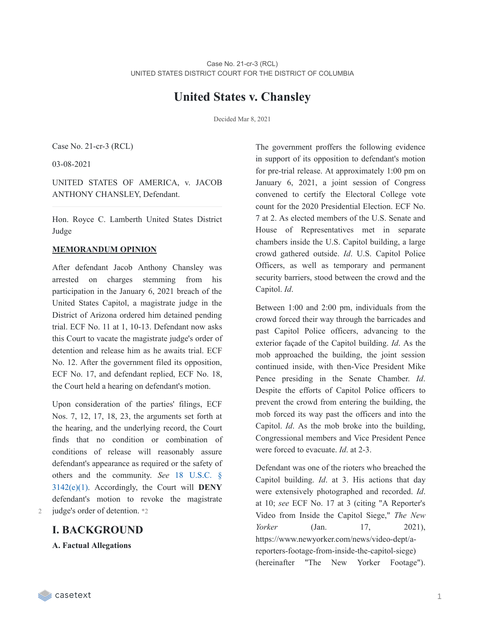# **United States v. Chansley**

Decided Mar 8, 2021

Case No. 21-cr-3 (RCL)

03-08-2021

UNITED STATES OF AMERICA, v. JACOB ANTHONY CHANSLEY, Defendant.

Hon. Royce C. Lamberth United States District Judge

#### **MEMORANDUM OPINION**

After defendant Jacob Anthony Chansley was arrested on charges stemming from his participation in the January 6, 2021 breach of the United States Capitol, a magistrate judge in the District of Arizona ordered him detained pending trial. ECF No. 11 at 1, 10-13. Defendant now asks this Court to vacate the magistrate judge's order of detention and release him as he awaits trial. ECF No. 12. After the government filed its opposition, ECF No. 17, and defendant replied, ECF No. 18, the Court held a hearing on defendant's motion.

Upon consideration of the parties' filings, ECF Nos. 7, 12, 17, 18, 23, the arguments set forth at the hearing, and the underlying record, the Court finds that no condition or combination of conditions of release will reasonably assure defendant's appearance as required or the safety of others and the community. *See* 18 U.S.C. § 3142(e)(1). [Accordingly,](https://casetext.com/statute/united-states-code/title-18-crimes-and-criminal-procedure/part-ii-criminal-procedure/chapter-207-release-and-detention-pending-judicial-proceedings/section-3142-release-or-detention-of-a-defendant-pending-trial) the Court will **DENY** defendant's motion to revoke the magistrate 2 judge's order of detention. \*2

## **I. BACKGROUND**

**A. Factual Allegations**

The government proffers the following evidence in support of its opposition to defendant's motion for pre-trial release. At approximately 1:00 pm on January 6, 2021, a joint session of Congress convened to certify the Electoral College vote count for the 2020 Presidential Election. ECF No. 7 at 2. As elected members of the U.S. Senate and House of Representatives met in separate chambers inside the U.S. Capitol building, a large crowd gathered outside. *Id*. U.S. Capitol Police Officers, as well as temporary and permanent security barriers, stood between the crowd and the Capitol. *Id*.

Between 1:00 and 2:00 pm, individuals from the crowd forced their way through the barricades and past Capitol Police officers, advancing to the exterior façade of the Capitol building. *Id*. As the mob approached the building, the joint session continued inside, with then-Vice President Mike Pence presiding in the Senate Chamber. *Id*. Despite the efforts of Capitol Police officers to prevent the crowd from entering the building, the mob forced its way past the officers and into the Capitol. *Id*. As the mob broke into the building, Congressional members and Vice President Pence were forced to evacuate. *Id*. at 2-3.

Defendant was one of the rioters who breached the Capitol building. *Id*. at 3. His actions that day were extensively photographed and recorded. *Id*. at 10; *see* ECF No. 17 at 3 (citing "A Reporter's Video from Inside the Capitol Siege," *The New Yorker* (Jan. 17, 2021), https://www.newyorker.com/news/video-dept/areporters-footage-from-inside-the-capitol-siege) (hereinafter "The New Yorker Footage").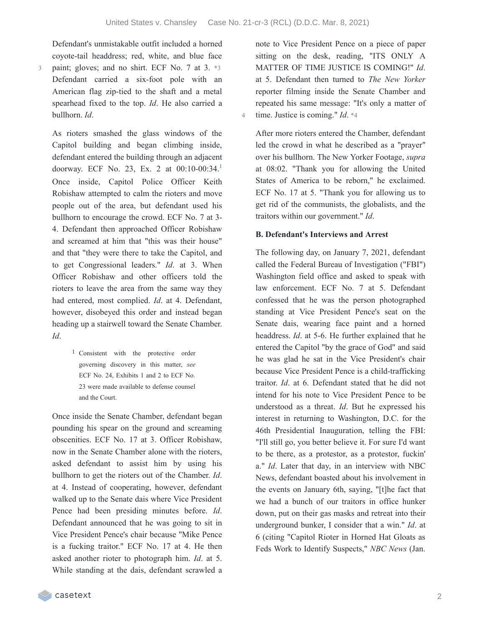Defendant's unmistakable outfit included a horned coyote-tail headdress; red, white, and blue face paint; gloves; and no shirt. ECF No. 7 at 3. \*3 Defendant carried a six-foot pole with an American flag zip-tied to the shaft and a metal spearhead fixed to the top. *Id*. He also carried a bullhorn. *Id*.

3

As rioters smashed the glass windows of the Capitol building and began climbing inside, defendant entered the building through an adjacent doorway. ECF No. 23, Ex. 2 at 00:10-00:34. [1](https://casetext.com/_print/doc/united-states-v-chansley-1?_printIncludeHighlights=false&_printIncludeKeyPassages=false&_printIsTwoColumn=true&_printEmail=&_printHighlightsKey=#N196689) Once inside, Capitol Police Officer Keith Robishaw attempted to calm the rioters and move people out of the area, but defendant used his bullhorn to encourage the crowd. ECF No. 7 at 3- 4. Defendant then approached Officer Robishaw and screamed at him that "this was their house" and that "they were there to take the Capitol, and to get Congressional leaders." *Id*. at 3. When Officer Robishaw and other officers told the rioters to leave the area from the same way they had entered, most complied. *Id*. at 4. Defendant, however, disobeyed this order and instead began heading up a stairwell toward the Senate Chamber. *Id*.

> 1 Consistent with the protective order governing discovery in this matter, *see* ECF No. 24, Exhibits 1 and 2 to ECF No. 23 were made available to defense counsel and the Court.

Once inside the Senate Chamber, defendant began pounding his spear on the ground and screaming obscenities. ECF No. 17 at 3. Officer Robishaw, now in the Senate Chamber alone with the rioters, asked defendant to assist him by using his bullhorn to get the rioters out of the Chamber. *Id*. at 4. Instead of cooperating, however, defendant walked up to the Senate dais where Vice President Pence had been presiding minutes before. *Id*. Defendant announced that he was going to sit in Vice President Pence's chair because "Mike Pence is a fucking traitor." ECF No. 17 at 4. He then asked another rioter to photograph him. *Id*. at 5. While standing at the dais, defendant scrawled a

note to Vice President Pence on a piece of paper sitting on the desk, reading, "ITS ONLY A MATTER OF TIME JUSTICE IS COMING!" *Id*. at 5. Defendant then turned to *The New Yorker* reporter filming inside the Senate Chamber and repeated his same message: "It's only a matter of 4 time. Justice is coming." *Id*. \*4

After more rioters entered the Chamber, defendant led the crowd in what he described as a "prayer" over his bullhorn. The New Yorker Footage, *supra* at 08:02. "Thank you for allowing the United States of America to be reborn," he exclaimed. ECF No. 17 at 5. "Thank you for allowing us to get rid of the communists, the globalists, and the traitors within our government." *Id*.

#### **B. Defendant's Interviews and Arrest**

The following day, on January 7, 2021, defendant called the Federal Bureau of Investigation ("FBI") Washington field office and asked to speak with law enforcement. ECF No. 7 at 5. Defendant confessed that he was the person photographed standing at Vice President Pence's seat on the Senate dais, wearing face paint and a horned headdress. *Id*. at 5-6. He further explained that he entered the Capitol "by the grace of God" and said he was glad he sat in the Vice President's chair because Vice President Pence is a child-trafficking traitor. *Id*. at 6. Defendant stated that he did not intend for his note to Vice President Pence to be understood as a threat. *Id*. But he expressed his interest in returning to Washington, D.C. for the 46th Presidential Inauguration, telling the FBI: "I'll still go, you better believe it. For sure I'd want to be there, as a protestor, as a protestor, fuckin' a." *Id*. Later that day, in an interview with NBC News, defendant boasted about his involvement in the events on January 6th, saying, "[t]he fact that we had a bunch of our traitors in office hunker down, put on their gas masks and retreat into their underground bunker, I consider that a win." *Id*. at 6 (citing "Capitol Rioter in Horned Hat Gloats as Feds Work to Identify Suspects," *NBC News* (Jan.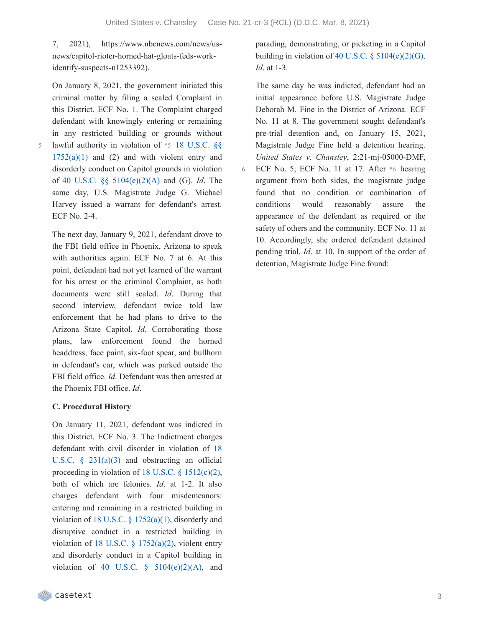6

7, 2021), https://www.nbcnews.com/news/usnews/capitol-rioter-horned-hat-gloats-feds-workidentify-suspects-n1253392).

On January 8, 2021, the government initiated this criminal matter by filing a sealed Complaint in this District. ECF No. 1. The Complaint charged defendant with knowingly entering or remaining in any restricted building or grounds without lawful authority in violation of \*5 18 U.S.C. §§  $1752(a)(1)$  and  $(2)$  and with violent entry and disorderly conduct on Capitol grounds in violation of 40 U.S.C. §§ [5104\(e\)\(2\)\(A\)](https://casetext.com/statute/united-states-code/title-40-public-buildings-property-and-works/subtitle-ii-public-buildings-and-works/part-b-united-states-capitol/chapter-51-united-states-capitol-buildings-and-grounds/section-5104-unlawful-activities) and (G). *Id*. The same day, U.S. Magistrate Judge G. Michael Harvey issued a warrant for defendant's arrest. ECF No. 2-4.

5

The next day, January 9, 2021, defendant drove to the FBI field office in Phoenix, Arizona to speak with authorities again. ECF No. 7 at 6. At this point, defendant had not yet learned of the warrant for his arrest or the criminal Complaint, as both documents were still sealed. *Id*. During that second interview, defendant twice told law enforcement that he had plans to drive to the Arizona State Capitol. *Id*. Corroborating those plans, law enforcement found the horned headdress, face paint, six-foot spear, and bullhorn in defendant's car, which was parked outside the FBI field office. *Id*. Defendant was then arrested at the Phoenix FBI office. *Id*.

#### **C. Procedural History**

On January 11, 2021, defendant was indicted in this District. ECF No. 3. The Indictment charges defendant with civil disorder in violation of 18 U.S.C.  $\S$  231(a)(3) and [obstructing](https://casetext.com/statute/united-states-code/title-18-crimes-and-criminal-procedure/part-i-crimes/chapter-12-civil-disorders/section-231-civil-disorders) an official proceeding in violation of 18 U.S.C.  $\S$  [1512\(c\)\(2\),](https://casetext.com/statute/united-states-code/title-18-crimes-and-criminal-procedure/part-i-crimes/chapter-73-obstruction-of-justice/section-1512-tampering-with-a-witness-victim-or-an-informant) both of which are felonies. *Id*. at 1-2. It also charges defendant with four misdemeanors: entering and remaining in a restricted building in violation of 18 U.S.C.  $\S$  [1752\(a\)\(1\),](https://casetext.com/statute/united-states-code/title-18-crimes-and-criminal-procedure/part-i-crimes/chapter-84-presidential-and-presidential-staff-assassination-kidnapping-and-assault/section-1752-restricted-building-or-grounds) disorderly and disruptive conduct in a restricted building in violation of 18 U.S.C.  $\S$  [1752\(a\)\(2\),](https://casetext.com/statute/united-states-code/title-18-crimes-and-criminal-procedure/part-i-crimes/chapter-84-presidential-and-presidential-staff-assassination-kidnapping-and-assault/section-1752-restricted-building-or-grounds) violent entry and disorderly conduct in a Capitol building in violation of 40 U.S.C.  $\S$  [5104\(e\)\(2\)\(A\),](https://casetext.com/statute/united-states-code/title-40-public-buildings-property-and-works/subtitle-ii-public-buildings-and-works/part-b-united-states-capitol/chapter-51-united-states-capitol-buildings-and-grounds/section-5104-unlawful-activities) and parading, demonstrating, or picketing in a Capitol building in violation of 40 U.S.C.  $\S$  [5104\(e\)\(2\)\(G\).](https://casetext.com/statute/united-states-code/title-40-public-buildings-property-and-works/subtitle-ii-public-buildings-and-works/part-b-united-states-capitol/chapter-51-united-states-capitol-buildings-and-grounds/section-5104-unlawful-activities) *Id*. at 1-3.

The same day he was indicted, defendant had an initial appearance before U.S. Magistrate Judge Deborah M. Fine in the District of Arizona. ECF No. 11 at 8. The government sought defendant's pre-trial detention and, on January 15, 2021, Magistrate Judge Fine held a detention hearing. *United States v*. *Chansley*, 2:21-mj-05000-DMF, ECF No. 5; ECF No. 11 at 17. After \*6 hearing argument from both sides, the magistrate judge found that no condition or combination of conditions would reasonably assure the appearance of the defendant as required or the safety of others and the community. ECF No. 11 at 10. Accordingly, she ordered defendant detained pending trial. *Id*. at 10. In support of the order of detention, Magistrate Judge Fine found: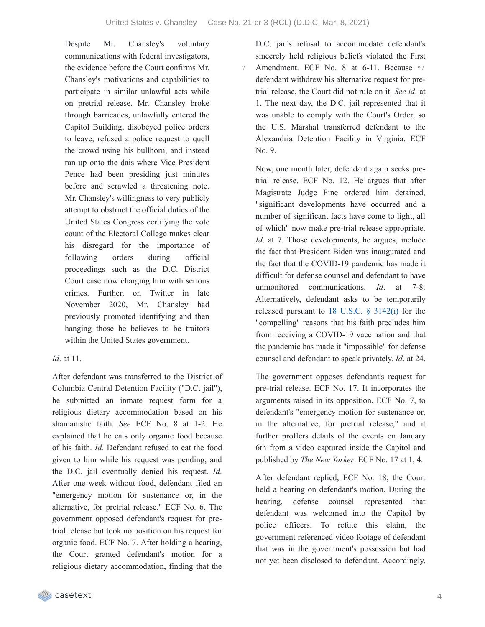Despite Mr. Chansley's voluntary communications with federal investigators, the evidence before the Court confirms Mr. Chansley's motivations and capabilities to participate in similar unlawful acts while on pretrial release. Mr. Chansley broke through barricades, unlawfully entered the Capitol Building, disobeyed police orders to leave, refused a police request to quell the crowd using his bullhorn, and instead ran up onto the dais where Vice President Pence had been presiding just minutes before and scrawled a threatening note. Mr. Chansley's willingness to very publicly attempt to obstruct the official duties of the United States Congress certifying the vote count of the Electoral College makes clear his disregard for the importance of following orders during official proceedings such as the D.C. District Court case now charging him with serious crimes. Further, on Twitter in late November 2020, Mr. Chansley had previously promoted identifying and then hanging those he believes to be traitors within the United States government.

#### *Id*. at 11.

After defendant was transferred to the District of Columbia Central Detention Facility ("D.C. jail"), he submitted an inmate request form for a religious dietary accommodation based on his shamanistic faith. *See* ECF No. 8 at 1-2. He explained that he eats only organic food because of his faith. *Id*. Defendant refused to eat the food given to him while his request was pending, and the D.C. jail eventually denied his request. *Id*. After one week without food, defendant filed an "emergency motion for sustenance or, in the alternative, for pretrial release." ECF No. 6. The government opposed defendant's request for pretrial release but took no position on his request for organic food. ECF No. 7. After holding a hearing, the Court granted defendant's motion for a religious dietary accommodation, finding that the

D.C. jail's refusal to accommodate defendant's sincerely held religious beliefs violated the First Amendment. ECF No. 8 at 6-11. Because \*7 defendant withdrew his alternative request for pretrial release, the Court did not rule on it. *See id*. at 1. The next day, the D.C. jail represented that it was unable to comply with the Court's Order, so the U.S. Marshal transferred defendant to the Alexandria Detention Facility in Virginia. ECF No. 9. 7

Now, one month later, defendant again seeks pretrial release. ECF No. 12. He argues that after Magistrate Judge Fine ordered him detained, "significant developments have occurred and a number of significant facts have come to light, all of which" now make pre-trial release appropriate. *Id.* at 7. Those developments, he argues, include the fact that President Biden was inaugurated and the fact that the COVID-19 pandemic has made it difficult for defense counsel and defendant to have unmonitored communications. *Id*. at 7-8. Alternatively, defendant asks to be temporarily released pursuant to 18 U.S.C. § [3142\(i\)](https://casetext.com/statute/united-states-code/title-18-crimes-and-criminal-procedure/part-ii-criminal-procedure/chapter-207-release-and-detention-pending-judicial-proceedings/section-3142-release-or-detention-of-a-defendant-pending-trial) for the "compelling" reasons that his faith precludes him from receiving a COVID-19 vaccination and that the pandemic has made it "impossible" for defense counsel and defendant to speak privately. *Id*. at 24.

The government opposes defendant's request for pre-trial release. ECF No. 17. It incorporates the arguments raised in its opposition, ECF No. 7, to defendant's "emergency motion for sustenance or, in the alternative, for pretrial release," and it further proffers details of the events on January 6th from a video captured inside the Capitol and published by *The New Yorker*. ECF No. 17 at 1, 4.

After defendant replied, ECF No. 18, the Court held a hearing on defendant's motion. During the hearing, defense counsel represented that defendant was welcomed into the Capitol by police officers. To refute this claim, the government referenced video footage of defendant that was in the government's possession but had not yet been disclosed to defendant. Accordingly,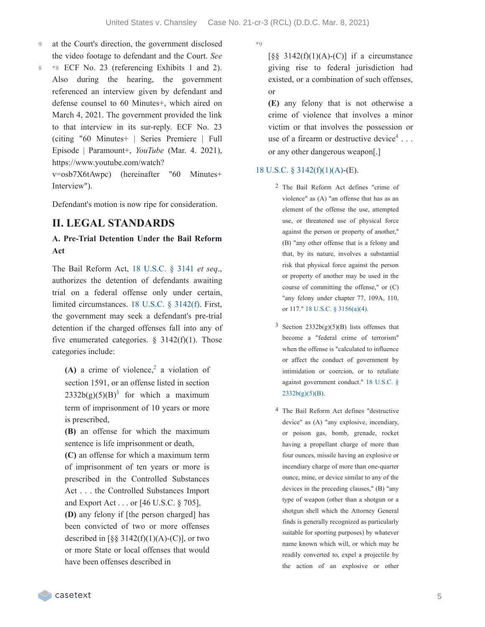- at the Court's direction, the government disclosed the video footage to defendant and the Court. *See* 9
- \*8 ECF No. 23 (referencing Exhibits 1 and 2). Also during the hearing, the government referenced an interview given by defendant and defense counsel to 60 Minutes+, which aired on March 4, 2021. The government provided the link to that interview in its sur-reply. ECF No. 23 (citing "60 Minutes+ | Series Premiere | Full Episode | Paramount+, *YouTube* (Mar. 4. 2021), https://www.youtube.com/watch? 8

v=osb7X6tAwpc) (hereinafter "60 Minutes+ Interview").

Defendant's motion is now ripe for consideration.

## **II. LEGAL STANDARDS**

### **A. Pre-Trial Detention Under the Bail Reform Act**

The Bail Reform Act, 18 [U.S.C.](https://casetext.com/statute/united-states-code/title-18-crimes-and-criminal-procedure/part-ii-criminal-procedure/chapter-207-release-and-detention-pending-judicial-proceedings/section-3141-release-and-detention-authority-generally) § 3141 *et seq*., authorizes the detention of defendants awaiting trial on a federal offense only under certain, limited circumstances. 18 U.S.C. § [3142\(f\)](https://casetext.com/statute/united-states-code/title-18-crimes-and-criminal-procedure/part-ii-criminal-procedure/chapter-207-release-and-detention-pending-judicial-proceedings/section-3142-release-or-detention-of-a-defendant-pending-trial). First, the government may seek a defendant's pre-trial detention if the charged offenses fall into any of five enumerated categories.  $\S$  3142(f)(1). Those categories include:

 $(A)$  a crime of violence,<sup>[2](https://casetext.com/_print/doc/united-states-v-chansley-1?_printIncludeHighlights=false&_printIncludeKeyPassages=false&_printIsTwoColumn=true&_printEmail=&_printHighlightsKey=#N196882)</sup> a violation of section 1591, or an offense listed in section  $2332b(g)(5)(B)^3$  $2332b(g)(5)(B)^3$  $2332b(g)(5)(B)^3$  for which a maximum term of imprisonment of 10 years or more is prescribed,

**(B)** an offense for which the maximum sentence is life imprisonment or death,

**(C)** an offense for which a maximum term of imprisonment of ten years or more is prescribed in the Controlled Substances Act . . . the Controlled Substances Import and Export Act . . . or [46 U.S.C. § 705],

**(D)** any felony if [the person charged] has been convicted of two or more offenses described in  $\lceil \S \S 3142(f)(1)(A)-(C) \rceil$ , or two or more State or local offenses that would have been offenses described in

 $*Q$ 

 $\lceil$ §§ 3142(f)(1)(A)-(C)] if a circumstance giving rise to federal jurisdiction had existed, or a combination of such offenses, or

**(E)** any felony that is not otherwise a crime of violence that involves a minor victim or that involves the possession or use of a firearm or destructive device<sup>[4](https://casetext.com/_print/doc/united-states-v-chansley-1?_printIncludeHighlights=false&_printIncludeKeyPassages=false&_printIsTwoColumn=true&_printEmail=&_printHighlightsKey=#N196915)</sup>... or any other dangerous weapon[.]

#### 18 U.S.C. § [3142\(f\)\(1\)\(A\)](https://casetext.com/statute/united-states-code/title-18-crimes-and-criminal-procedure/part-ii-criminal-procedure/chapter-207-release-and-detention-pending-judicial-proceedings/section-3142-release-or-detention-of-a-defendant-pending-trial)-(E).

- 2 The Bail Reform Act defines "crime of violence" as (A) "an offense that has as an element of the offense the use, attempted use, or threatened use of physical force against the person or property of another," (B) "any other offense that is a felony and that, by its nature, involves a substantial risk that physical force against the person or property of another may be used in the course of committing the offense," or (C) "any felony under chapter 77, 109A, 110, or 117." 18 U.S.C. § [3156\(a\)\(4\)](https://casetext.com/statute/united-states-code/title-18-crimes-and-criminal-procedure/part-ii-criminal-procedure/chapter-207-release-and-detention-pending-judicial-proceedings/section-3156-definitions).
- $3$  Section 2332b(g)(5)(B) lists offenses that become a "federal crime of terrorism" when the offense is "calculated to influence or affect the conduct of government by intimidation or coercion, or to retaliate against government conduct." 18 U.S.C. §  $2332b(g)(5)(B)$ .
- 4 The Bail Reform Act defines "destructive device" as (A) "any explosive, incendiary, or poison gas, bomb, grenade, rocket having a propellant charge of more than four ounces, missile having an explosive or incendiary charge of more than one-quarter ounce, mine, or device similar to any of the devices in the preceding clauses," (B) "any type of weapon (other than a shotgun or a shotgun shell which the Attorney General finds is generally recognized as particularly suitable for sporting purposes) by whatever name known which will, or which may be readily converted to, expel a projectile by the action of an explosive or other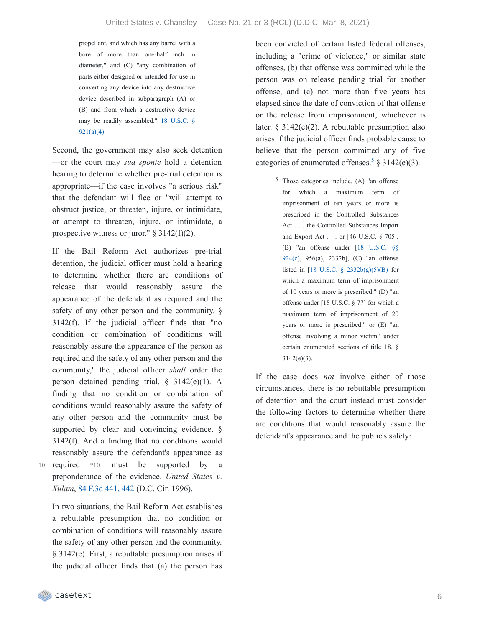propellant, and which has any barrel with a bore of more than one-half inch in diameter," and (C) "any combination of parts either designed or intended for use in converting any device into any destructive device described in subparagraph (A) or (B) and from which a destructive device may be readily [assembled."](https://casetext.com/statute/united-states-code/title-18-crimes-and-criminal-procedure/part-i-crimes/chapter-44-firearms/section-921-definitions) 18 U.S.C. § 921(a)(4).

Second, the government may also seek detention —or the court may *sua sponte* hold a detention hearing to determine whether pre-trial detention is appropriate—if the case involves "a serious risk" that the defendant will flee or "will attempt to obstruct justice, or threaten, injure, or intimidate, or attempt to threaten, injure, or intimidate, a prospective witness or juror."  $§$  3142(f)(2).

If the Bail Reform Act authorizes pre-trial detention, the judicial officer must hold a hearing to determine whether there are conditions of release that would reasonably assure the appearance of the defendant as required and the safety of any other person and the community. § 3142(f). If the judicial officer finds that "no condition or combination of conditions will reasonably assure the appearance of the person as required and the safety of any other person and the community," the judicial officer *shall* order the person detained pending trial. § 3142(e)(1). A finding that no condition or combination of conditions would reasonably assure the safety of any other person and the community must be supported by clear and convincing evidence. § 3142(f). And a finding that no conditions would reasonably assure the defendant's appearance as 10 required \*10 must be supported by a

preponderance of the evidence. *United States v*. *Xulam*, 84 F.3d [441,](https://casetext.com/case/us-v-xulam#p442) 442 (D.C. Cir. 1996). In two situations, the Bail Reform Act establishes

a rebuttable presumption that no condition or combination of conditions will reasonably assure the safety of any other person and the community. § 3142(e). First, a rebuttable presumption arises if the judicial officer finds that (a) the person has

been convicted of certain listed federal offenses, including a "crime of violence," or similar state offenses, (b) that offense was committed while the person was on release pending trial for another offense, and (c) not more than five years has elapsed since the date of conviction of that offense or the release from imprisonment, whichever is later. § 3142(e)(2). A rebuttable presumption also arises if the judicial officer finds probable cause to believe that the person committed any of five categories of enumerated offenses.<sup>[5](https://casetext.com/_print/doc/united-states-v-chansley-1?_printIncludeHighlights=false&_printIncludeKeyPassages=false&_printIsTwoColumn=true&_printEmail=&_printHighlightsKey=#N196944)</sup> § 3142(e)(3).

> $5$  Those categories include, (A) "an offense for which a maximum term of imprisonment of ten years or more is prescribed in the Controlled Substances Act . . . the Controlled Substances Import and Export Act . . . or [46 U.S.C. § 705], (B) "an offense under [18 U.S.C. §§ 924(c), 956(a), [2332b\],](https://casetext.com/statute/united-states-code/title-18-crimes-and-criminal-procedure/part-i-crimes/chapter-44-firearms/section-924-penalties) (C) "an offense listed in [18 U.S.C. § [2332b\(g\)\(5\)\(B\)](https://casetext.com/statute/united-states-code/title-18-crimes-and-criminal-procedure/part-i-crimes/chapter-113b-terrorism/section-2332b-acts-of-terrorism-transcending-national-boundaries) for which a maximum term of imprisonment of 10 years or more is prescribed," (D) "an offense under [18 U.S.C. § 77] for which a maximum term of imprisonment of 20 years or more is prescribed," or (E) "an offense involving a minor victim" under certain enumerated sections of title 18. § 3142(e)(3).

If the case does *not* involve either of those circumstances, there is no rebuttable presumption of detention and the court instead must consider the following factors to determine whether there are conditions that would reasonably assure the defendant's appearance and the public's safety: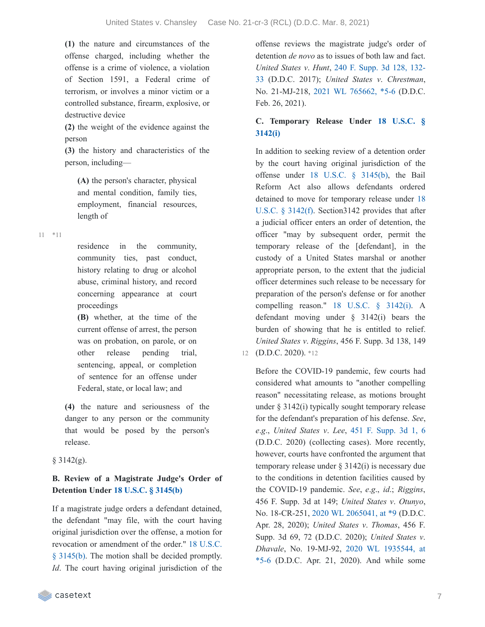**(1)** the nature and circumstances of the offense charged, including whether the offense is a crime of violence, a violation of Section 1591, a Federal crime of terrorism, or involves a minor victim or a controlled substance, firearm, explosive, or destructive device

**(2)** the weight of the evidence against the person

**(3)** the history and characteristics of the person, including—

**(A)** the person's character, physical and mental condition, family ties, employment, financial resources, length of

\*11 11

residence in the community, community ties, past conduct, history relating to drug or alcohol abuse, criminal history, and record concerning appearance at court proceedings

**(B)** whether, at the time of the current offense of arrest, the person was on probation, on parole, or on other release pending trial, sentencing, appeal, or completion of sentence for an offense under Federal, state, or local law; and

**(4)** the nature and seriousness of the danger to any person or the community that would be posed by the person's release.

#### $§$  3142(g).

### **B. Review of a Magistrate Judge's Order of Detention Under 18 U.S.C. § [3145\(b\)](https://casetext.com/statute/united-states-code/title-18-crimes-and-criminal-procedure/part-ii-criminal-procedure/chapter-207-release-and-detention-pending-judicial-proceedings/section-3145-review-and-appeal-of-a-release-or-detention-order)**

If a magistrate judge orders a defendant detained, the defendant "may file, with the court having original jurisdiction over the offense, a motion for revocation or [amendment](https://casetext.com/statute/united-states-code/title-18-crimes-and-criminal-procedure/part-ii-criminal-procedure/chapter-207-release-and-detention-pending-judicial-proceedings/section-3145-review-and-appeal-of-a-release-or-detention-order) of the order." 18 U.S.C. § 3145(b). The motion shall be decided promptly. *Id*. The court having original jurisdiction of the

casetext

offense reviews the magistrate judge's order of detention *de novo* as to issues of both law and fact. *United States v*. *Hunt*, 240 F. Supp. 3d 128, 132- 33 (D.D.C. 2017); *United States v*. *[Chrestman](https://casetext.com/case/united-states-v-hunt-95#p132)*, No. 21-MJ-218, 2021 WL [765662,](https://casetext.com/case/united-states-v-chrestman-2#p5) \*5-6 (D.D.C. Feb. 26, 2021).

### **C. [Temporary](https://casetext.com/statute/united-states-code/title-18-crimes-and-criminal-procedure/part-ii-criminal-procedure/chapter-207-release-and-detention-pending-judicial-proceedings/section-3142-release-or-detention-of-a-defendant-pending-trial) Release Under 18 U.S.C. § 3142(i)**

In addition to seeking review of a detention order by the court having original jurisdiction of the offense under 18 U.S.C. § [3145\(b\),](https://casetext.com/statute/united-states-code/title-18-crimes-and-criminal-procedure/part-ii-criminal-procedure/chapter-207-release-and-detention-pending-judicial-proceedings/section-3145-review-and-appeal-of-a-release-or-detention-order) the Bail Reform Act also allows defendants ordered detained to move for temporary release under 18 U.S.C. § 3142(f). [Section3142](https://casetext.com/statute/united-states-code/title-18-crimes-and-criminal-procedure/part-ii-criminal-procedure/chapter-207-release-and-detention-pending-judicial-proceedings/section-3142-release-or-detention-of-a-defendant-pending-trial) provides that after a judicial officer enters an order of detention, the officer "may by subsequent order, permit the temporary release of the [defendant], in the custody of a United States marshal or another appropriate person, to the extent that the judicial officer determines such release to be necessary for preparation of the person's defense or for another compelling reason." 18 U.S.C. § [3142\(i\).](https://casetext.com/statute/united-states-code/title-18-crimes-and-criminal-procedure/part-ii-criminal-procedure/chapter-207-release-and-detention-pending-judicial-proceedings/section-3142-release-or-detention-of-a-defendant-pending-trial) A defendant moving under § 3142(i) bears the burden of showing that he is entitled to relief. *United States v*. *Riggins*, 456 F. Supp. 3d 138, 149 12 (D.D.C. 2020). \*12

Before the COVID-19 pandemic, few courts had considered what amounts to "another compelling reason" necessitating release, as motions brought under § 3142(i) typically sought temporary release for the defendant's preparation of his defense. *See*, *e*.*g*., *United States v*. *Lee*, 451 F. [Supp.](https://casetext.com/case/united-states-v-lee-709#p6) 3d 1, 6 (D.D.C. 2020) (collecting cases). More recently, however, courts have confronted the argument that temporary release under § 3142(i) is necessary due to the conditions in detention facilities caused by the COVID-19 pandemic. *See*, *e*.*g*., *id*.; *Riggins*, 456 F. Supp. 3d at 149; *United States v*. *Otunyo*, No. 18-CR-251, 2020 WL [2065041,](https://casetext.com/case/united-states-v-otunyo#p9) at \*9 (D.D.C. Apr. 28, 2020); *United States v*. *Thomas*, 456 F. Supp. 3d 69, 72 (D.D.C. 2020); *United States v*. *Dhavale*, No. [19-MJ-92,](https://casetext.com/case/united-states-v-dhavale#p5) 2020 WL 1935544, at \*5-6 (D.D.C. Apr. 21, 2020). And while some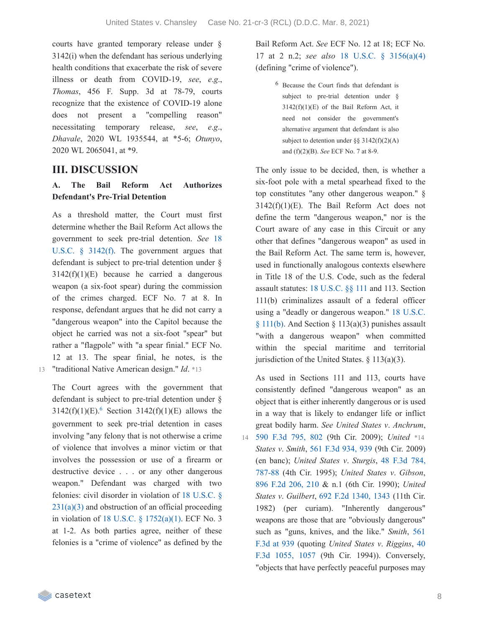courts have granted temporary release under § 3142(i) when the defendant has serious underlying health conditions that exacerbate the risk of severe illness or death from COVID-19, *see*, *e*.*g*., *Thomas*, 456 F. Supp. 3d at 78-79, courts recognize that the existence of COVID-19 alone does not present a "compelling reason" necessitating temporary release, *see*, *e*.*g*., *Dhavale*, 2020 WL 1935544, at \*5-6; *Otunyo*, 2020 WL 2065041, at \*9.

## **III. DISCUSSION**

### **A. The Bail Reform Act Authorizes Defendant's Pre-Trial Detention**

As a threshold matter, the Court must first determine whether the Bail Reform Act allows the [government](https://casetext.com/statute/united-states-code/title-18-crimes-and-criminal-procedure/part-ii-criminal-procedure/chapter-207-release-and-detention-pending-judicial-proceedings/section-3142-release-or-detention-of-a-defendant-pending-trial) to seek pre-trial detention. *See* 18 U.S.C. § 3142(f). The government argues that defendant is subject to pre-trial detention under §  $3142(f)(1)(E)$  because he carried a dangerous weapon (a six-foot spear) during the commission of the crimes charged. ECF No. 7 at 8. In response, defendant argues that he did not carry a "dangerous weapon" into the Capitol because the object he carried was not a six-foot "spear" but rather a "flagpole" with "a spear finial." ECF No. 12 at 13. The spear finial, he notes, is the 13 "traditional Native American design." *Id*. \*13

The Court agrees with the government that defendant is subject to pre-trial detention under §  $3142(f)(1)(E)^6$  $3142(f)(1)(E)^6$  Section  $3142(f)(1)(E)$  allows the government to seek pre-trial detention in cases involving "any felony that is not otherwise a crime of violence that involves a minor victim or that involves the possession or use of a firearm or destructive device . . . or any other dangerous weapon." Defendant was charged with two felonies: civil disorder in violation of 18 U.S.C. §  $231(a)(3)$  and [obstruction](https://casetext.com/statute/united-states-code/title-18-crimes-and-criminal-procedure/part-i-crimes/chapter-12-civil-disorders/section-231-civil-disorders) of an official proceeding in violation of 18 U.S.C. § [1752\(a\)\(1\).](https://casetext.com/statute/united-states-code/title-18-crimes-and-criminal-procedure/part-i-crimes/chapter-84-presidential-and-presidential-staff-assassination-kidnapping-and-assault/section-1752-restricted-building-or-grounds) ECF No. 3 at 1-2. As both parties agree, neither of these felonies is a "crime of violence" as defined by the

Bail Reform Act. *See* ECF No. 12 at 18; ECF No. 17 at 2 n.2; *see also* 18 U.S.C. § [3156\(a\)\(4\)](https://casetext.com/statute/united-states-code/title-18-crimes-and-criminal-procedure/part-ii-criminal-procedure/chapter-207-release-and-detention-pending-judicial-proceedings/section-3156-definitions) (defining "crime of violence").

> 6 Because the Court finds that defendant is subject to pre-trial detention under §  $3142(f)(1)(E)$  of the Bail Reform Act, it need not consider the government's alternative argument that defendant is also subject to detention under  $\S$ § 3142(f)(2)(A) and (f)(2)(B). *See* ECF No. 7 at 8-9.

The only issue to be decided, then, is whether a six-foot pole with a metal spearhead fixed to the top constitutes "any other dangerous weapon." §  $3142(f)(1)(E)$ . The Bail Reform Act does not define the term "dangerous weapon," nor is the Court aware of any case in this Circuit or any other that defines "dangerous weapon" as used in the Bail Reform Act. The same term is, however, used in functionally analogous contexts elsewhere in Title 18 of the U.S. Code, such as the federal assault statutes: 18 [U.S.C.](https://casetext.com/statute/united-states-code/title-18-crimes-and-criminal-procedure/part-i-crimes/chapter-7-assault/section-111-assaulting-resisting-or-impeding-certain-officers-or-employees) §§ 111 and 113. Section 111(b) criminalizes assault of a federal officer using a "deadly or [dangerous](https://casetext.com/statute/united-states-code/title-18-crimes-and-criminal-procedure/part-i-crimes/chapter-7-assault/section-111-assaulting-resisting-or-impeding-certain-officers-or-employees) weapon." 18 U.S.C.  $§ 111(b)$ . And Section  $§ 113(a)(3)$  punishes assault "with a dangerous weapon" when committed within the special maritime and territorial jurisdiction of the United States.  $\S$  113(a)(3).

As used in Sections 111 and 113, courts have consistently defined "dangerous weapon" as an object that is either inherently dangerous or is used in a way that is likely to endanger life or inflict great bodily harm. *See United States v*. *Anchrum*, 590 F.3d [795,](https://casetext.com/case/us-v-anchrum-2#p802) 802 (9th Cir. 2009); *United* \*14 14 *States v*. *Smith*, 561 F.3d [934,](https://casetext.com/case/us-v-smith-1450#p939) 939 (9th Cir. 2009) (en banc); *United States v*. *Sturgis*, 48 F.3d 784, 787-88 (4th Cir. 1995); *United States v*. *[Gibson](https://casetext.com/case/us-v-sturgis-4#p787)*, 896 F.2d [206,](https://casetext.com/case/us-v-gibson-50#p210) 210 & n.1 (6th Cir. 1990); *United States v*. *Guilbert*, 692 F.2d [1340,](https://casetext.com/case/united-states-v-guilbert#p1343) 1343 (11th Cir. 1982) (per curiam). "Inherently dangerous" weapons are those that are "obviously dangerous" such as "guns, knives, and the like." *Smith*, 561 F.3d at 939 [\(quoting](https://casetext.com/case/us-v-smith-1450#p939) *United States v*. *Riggins*, 40 F.3d 1055, 1057 (9th Cir. 1994)). [Conversely,](https://casetext.com/case/us-v-riggins-3#p1057) "objects that have perfectly peaceful purposes may

**Exercise** casetext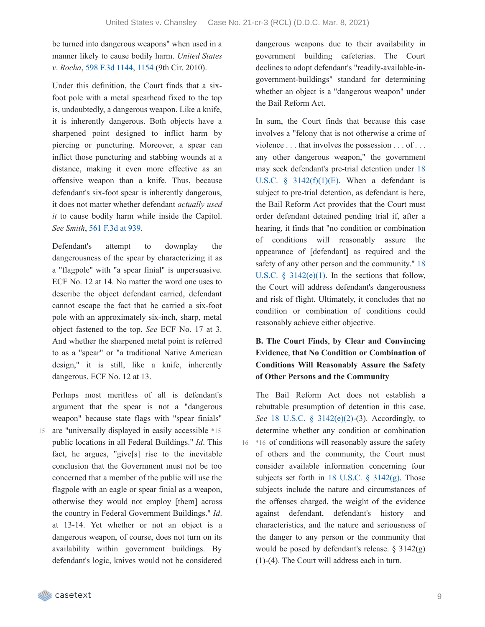be turned into dangerous weapons" when used in a manner likely to cause bodily harm. *United States v*. *Rocha*, 598 F.3d [1144,](https://casetext.com/case/us-v-rocha-13#p1154) 1154 (9th Cir. 2010).

Under this definition, the Court finds that a sixfoot pole with a metal spearhead fixed to the top is, undoubtedly, a dangerous weapon. Like a knife, it is inherently dangerous. Both objects have a sharpened point designed to inflict harm by piercing or puncturing. Moreover, a spear can inflict those puncturing and stabbing wounds at a distance, making it even more effective as an offensive weapon than a knife. Thus, because defendant's six-foot spear is inherently dangerous, it does not matter whether defendant *actually used it* to cause bodily harm while inside the Capitol. *See Smith*, 561 [F.3d](https://casetext.com/case/us-v-smith-1450#p939) at 939.

Defendant's attempt to downplay the dangerousness of the spear by characterizing it as a "flagpole" with "a spear finial" is unpersuasive. ECF No. 12 at 14. No matter the word one uses to describe the object defendant carried, defendant cannot escape the fact that he carried a six-foot pole with an approximately six-inch, sharp, metal object fastened to the top. *See* ECF No. 17 at 3. And whether the sharpened metal point is referred to as a "spear" or "a traditional Native American design," it is still, like a knife, inherently dangerous. ECF No. 12 at 13.

Perhaps most meritless of all is defendant's argument that the spear is not a "dangerous weapon" because state flags with "spear finials" 15 are "universally displayed in easily accessible \*15 public locations in all Federal Buildings." *Id*. This fact, he argues, "give[s] rise to the inevitable conclusion that the Government must not be too concerned that a member of the public will use the flagpole with an eagle or spear finial as a weapon, otherwise they would not employ [them] across the country in Federal Government Buildings." *Id*. at 13-14. Yet whether or not an object is a dangerous weapon, of course, does not turn on its availability within government buildings. By defendant's logic, knives would not be considered dangerous weapons due to their availability in government building cafeterias. The Court declines to adopt defendant's "readily-available-ingovernment-buildings" standard for determining whether an object is a "dangerous weapon" under the Bail Reform Act.

In sum, the Court finds that because this case involves a "felony that is not otherwise a crime of violence . . . that involves the possession . . . of . . . any other dangerous weapon," the government may seek defendant's pre-trial detention under 18 U.S.C.  $\frac{1}{2}$  [3142\(f\)\(1\)\(E\).](https://casetext.com/statute/united-states-code/title-18-crimes-and-criminal-procedure/part-ii-criminal-procedure/chapter-207-release-and-detention-pending-judicial-proceedings/section-3142-release-or-detention-of-a-defendant-pending-trial) When a defendant is subject to pre-trial detention, as defendant is here, the Bail Reform Act provides that the Court must order defendant detained pending trial if, after a hearing, it finds that "no condition or combination of conditions will reasonably assure the appearance of [defendant] as required and the safety of any other person and the [community."](https://casetext.com/statute/united-states-code/title-18-crimes-and-criminal-procedure/part-ii-criminal-procedure/chapter-207-release-and-detention-pending-judicial-proceedings/section-3142-release-or-detention-of-a-defendant-pending-trial) 18 U.S.C.  $\S$  3142(e)(1). In the sections that follow, the Court will address defendant's dangerousness and risk of flight. Ultimately, it concludes that no condition or combination of conditions could reasonably achieve either objective.

### **B. The Court Finds**, **by Clear and Convincing Evidence**, **that No Condition or Combination of Conditions Will Reasonably Assure the Safety of Other Persons and the Community**

The Bail Reform Act does not establish a rebuttable presumption of detention in this case. *See* 18 U.S.C. § [3142\(e\)\(2\)](https://casetext.com/statute/united-states-code/title-18-crimes-and-criminal-procedure/part-ii-criminal-procedure/chapter-207-release-and-detention-pending-judicial-proceedings/section-3142-release-or-detention-of-a-defendant-pending-trial)-(3). Accordingly, to determine whether any condition or combination 16 \*16 of conditions will reasonably assure the safety of others and the community, the Court must consider available information concerning four subjects set forth in 18 U.S.C. § [3142\(g\).](https://casetext.com/statute/united-states-code/title-18-crimes-and-criminal-procedure/part-ii-criminal-procedure/chapter-207-release-and-detention-pending-judicial-proceedings/section-3142-release-or-detention-of-a-defendant-pending-trial) Those subjects include the nature and circumstances of the offenses charged, the weight of the evidence against defendant, defendant's history and characteristics, and the nature and seriousness of the danger to any person or the community that would be posed by defendant's release. § 3142(g) (1)-(4). The Court will address each in turn.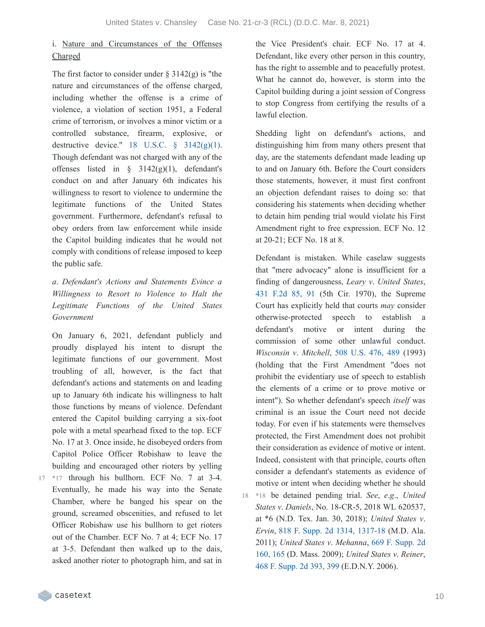## i. Nature and Circumstances of the Offenses Charged

The first factor to consider under  $\S 3142(g)$  is "the nature and circumstances of the offense charged, including whether the offense is a crime of violence, a violation of section 1951, a Federal crime of terrorism, or involves a minor victim or a controlled substance, firearm, explosive, or destructive device." 18 U.S.C.  $\frac{1}{2}$  [3142\(g\)\(1\)](https://casetext.com/statute/united-states-code/title-18-crimes-and-criminal-procedure/part-ii-criminal-procedure/chapter-207-release-and-detention-pending-judicial-proceedings/section-3142-release-or-detention-of-a-defendant-pending-trial). Though defendant was not charged with any of the offenses listed in  $\frac{1}{2}$  3142(g)(1), defendant's conduct on and after January 6th indicates his willingness to resort to violence to undermine the legitimate functions of the United States government. Furthermore, defendant's refusal to obey orders from law enforcement while inside the Capitol building indicates that he would not comply with conditions of release imposed to keep the public safe.

### *a*. *Defendant's Actions and Statements Evince a Willingness to Resort to Violence to Halt the Legitimate Functions of the United States Government*

On January 6, 2021, defendant publicly and proudly displayed his intent to disrupt the legitimate functions of our government. Most troubling of all, however, is the fact that defendant's actions and statements on and leading up to January 6th indicate his willingness to halt those functions by means of violence. Defendant entered the Capitol building carrying a six-foot pole with a metal spearhead fixed to the top. ECF No. 17 at 3. Once inside, he disobeyed orders from Capitol Police Officer Robishaw to leave the building and encouraged other rioters by yelling

17 \*17 through his bullhorn. ECF No. 7 at 3-4. Eventually, he made his way into the Senate Chamber, where he banged his spear on the ground, screamed obscenities, and refused to let Officer Robishaw use his bullhorn to get rioters out of the Chamber. ECF No. 7 at 4; ECF No. 17 at 3-5. Defendant then walked up to the dais, asked another rioter to photograph him, and sat in

the Vice President's chair. ECF No. 17 at 4. Defendant, like every other person in this country, has the right to assemble and to peacefully protest. What he cannot do, however, is storm into the Capitol building during a joint session of Congress to stop Congress from certifying the results of a lawful election.

Shedding light on defendant's actions, and distinguishing him from many others present that day, are the statements defendant made leading up to and on January 6th. Before the Court considers those statements, however, it must first confront an objection defendant raises to doing so: that considering his statements when deciding whether to detain him pending trial would violate his First Amendment right to free expression. ECF No. 12 at 20-21; ECF No. 18 at 8.

Defendant is mistaken. While caselaw suggests that "mere advocacy" alone is insufficient for a finding of dangerousness, *Leary v*. *United States*, 431 [F.2d](https://casetext.com/case/leary-v-united-states-4#p91) 85, 91 (5th Cir. 1970), the Supreme Court has explicitly held that courts *may* consider otherwise-protected speech to establish a defendant's motive or intent during the commission of some other unlawful conduct. *Wisconsin v*. *Mitchell*, 508 [U.S.](https://casetext.com/case/wisconsin-v-mitchell#p489) 476, 489 (1993) (holding that the First Amendment "does not prohibit the evidentiary use of speech to establish the elements of a crime or to prove motive or intent"). So whether defendant's speech *itself* was criminal is an issue the Court need not decide today. For even if his statements were themselves protected, the First Amendment does not prohibit their consideration as evidence of motive or intent. Indeed, consistent with that principle, courts often consider a defendant's statements as evidence of motive or intent when deciding whether he should \*18 be detained pending trial. *See*, *e*.*g*., *United* 18 *States v*. *Daniels*, No. 18-CR-5, 2018 WL 620537, at \*6 (N.D. Tex. Jan. 30, 2018); *United States v*. *Ervin*, 818 F. Supp. 2d 1314, [1317-18](https://casetext.com/case/us-v-ervin-21#p1317) (M.D. Ala. 2011); *United States v*. *[Mehanna](https://casetext.com/case/us-v-mehanna-2#p165)*, 669 F. Supp. 2d 160, 165 (D. Mass. 2009); *United States v*. *Reiner*, 468 F. [Supp.](https://casetext.com/case/us-v-reiner#p399) 2d 393, 399 (E.D.N.Y. 2006).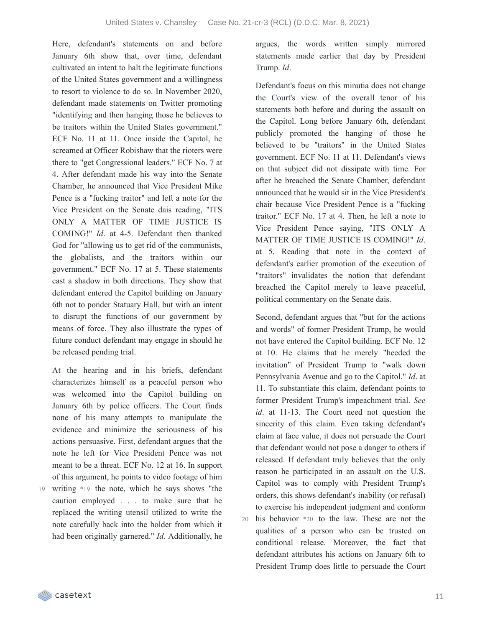Here, defendant's statements on and before January 6th show that, over time, defendant cultivated an intent to halt the legitimate functions of the United States government and a willingness to resort to violence to do so. In November 2020, defendant made statements on Twitter promoting "identifying and then hanging those he believes to be traitors within the United States government." ECF No. 11 at 11. Once inside the Capitol, he screamed at Officer Robishaw that the rioters were there to "get Congressional leaders." ECF No. 7 at 4. After defendant made his way into the Senate Chamber, he announced that Vice President Mike Pence is a "fucking traitor" and left a note for the Vice President on the Senate dais reading, "ITS ONLY A MATTER OF TIME JUSTICE IS COMING!" *Id*. at 4-5. Defendant then thanked God for "allowing us to get rid of the communists, the globalists, and the traitors within our government." ECF No. 17 at 5. These statements cast a shadow in both directions. They show that defendant entered the Capitol building on January 6th not to ponder Statuary Hall, but with an intent to disrupt the functions of our government by means of force. They also illustrate the types of future conduct defendant may engage in should he be released pending trial.

At the hearing and in his briefs, defendant characterizes himself as a peaceful person who was welcomed into the Capitol building on January 6th by police officers. The Court finds none of his many attempts to manipulate the evidence and minimize the seriousness of his actions persuasive. First, defendant argues that the note he left for Vice President Pence was not meant to be a threat. ECF No. 12 at 16. In support of this argument, he points to video footage of him

writing \*19 the note, which he says shows "the 19 caution employed . . . to make sure that he replaced the writing utensil utilized to write the note carefully back into the holder from which it had been originally garnered." *Id*. Additionally, he

argues, the words written simply mirrored statements made earlier that day by President Trump. *Id*.

Defendant's focus on this minutia does not change the Court's view of the overall tenor of his statements both before and during the assault on the Capitol. Long before January 6th, defendant publicly promoted the hanging of those he believed to be "traitors" in the United States government. ECF No. 11 at 11. Defendant's views on that subject did not dissipate with time. For after he breached the Senate Chamber, defendant announced that he would sit in the Vice President's chair because Vice President Pence is a "fucking traitor." ECF No. 17 at 4. Then, he left a note to Vice President Pence saying, "ITS ONLY A MATTER OF TIME JUSTICE IS COMING!" *Id*. at 5. Reading that note in the context of defendant's earlier promotion of the execution of "traitors" invalidates the notion that defendant breached the Capitol merely to leave peaceful, political commentary on the Senate dais.

Second, defendant argues that "but for the actions and words" of former President Trump, he would not have entered the Capitol building. ECF No. 12 at 10. He claims that he merely "heeded the invitation" of President Trump to "walk down Pennsylvania Avenue and go to the Capitol." *Id*. at 11. To substantiate this claim, defendant points to former President Trump's impeachment trial. *See id*. at 11-13. The Court need not question the sincerity of this claim. Even taking defendant's claim at face value, it does not persuade the Court that defendant would not pose a danger to others if released. If defendant truly believes that the only reason he participated in an assault on the U.S. Capitol was to comply with President Trump's orders, this shows defendant's inability (or refusal) to exercise his independent judgment and conform his behavior \*20 to the law. These are not the 20 qualities of a person who can be trusted on conditional release. Moreover, the fact that defendant attributes his actions on January 6th to President Trump does little to persuade the Court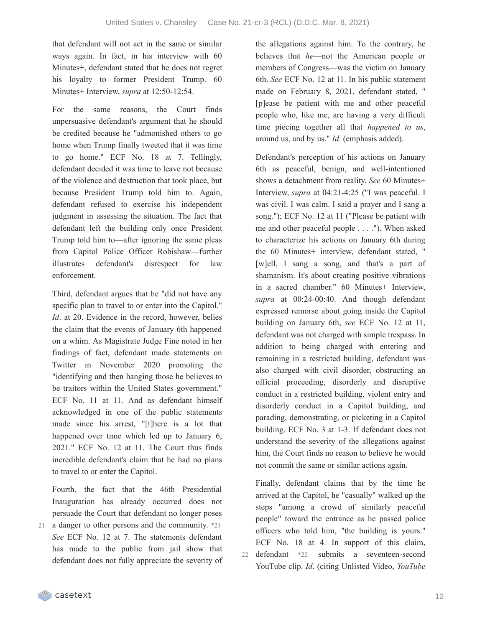that defendant will not act in the same or similar ways again. In fact, in his interview with 60 Minutes+, defendant stated that he does not regret his loyalty to former President Trump. 60 Minutes+ Interview, *supra* at 12:50-12:54.

For the same reasons, the Court finds unpersuasive defendant's argument that he should be credited because he "admonished others to go home when Trump finally tweeted that it was time to go home." ECF No. 18 at 7. Tellingly, defendant decided it was time to leave not because of the violence and destruction that took place, but because President Trump told him to. Again, defendant refused to exercise his independent judgment in assessing the situation. The fact that defendant left the building only once President Trump told him to—after ignoring the same pleas from Capitol Police Officer Robishaw—further illustrates defendant's disrespect for law enforcement.

Third, defendant argues that he "did not have any specific plan to travel to or enter into the Capitol." *Id.* at 20. Evidence in the record, however, belies the claim that the events of January 6th happened on a whim. As Magistrate Judge Fine noted in her findings of fact, defendant made statements on Twitter in November 2020 promoting the "identifying and then hanging those he believes to be traitors within the United States government." ECF No. 11 at 11. And as defendant himself acknowledged in one of the public statements made since his arrest, "[t]here is a lot that happened over time which led up to January 6, 2021." ECF No. 12 at 11. The Court thus finds incredible defendant's claim that he had no plans to travel to or enter the Capitol.

Fourth, the fact that the 46th Presidential Inauguration has already occurred does not persuade the Court that defendant no longer poses 21 a danger to other persons and the community. \*21 *See* ECF No. 12 at 7. The statements defendant has made to the public from jail show that defendant does not fully appreciate the severity of the allegations against him. To the contrary, he believes that *he*—not the American people or members of Congress—was the victim on January 6th. *See* ECF No. 12 at 11. In his public statement made on February 8, 2021, defendant stated, " [p]ease be patient with me and other peaceful people who, like me, are having a very difficult time piecing together all that *happened to us*, around us, and by us." *Id*. (emphasis added).

Defendant's perception of his actions on January 6th as peaceful, benign, and well-intentioned shows a detachment from reality. *See* 60 Minutes+ Interview, *supra* at 04:21-4:25 ("I was peaceful. I was civil. I was calm. I said a prayer and I sang a song."); ECF No. 12 at 11 ("Please be patient with me and other peaceful people . . . ."). When asked to characterize his actions on January 6th during the 60 Minutes+ interview, defendant stated, " [w]ell, I sang a song, and that's a part of shamanism. It's about creating positive vibrations in a sacred chamber." 60 Minutes+ Interview, *supra* at 00:24-00:40. And though defendant expressed remorse about going inside the Capitol building on January 6th, *see* ECF No. 12 at 11, defendant was not charged with simple trespass. In addition to being charged with entering and remaining in a restricted building, defendant was also charged with civil disorder, obstructing an official proceeding, disorderly and disruptive conduct in a restricted building, violent entry and disorderly conduct in a Capitol building, and parading, demonstrating, or picketing in a Capitol building. ECF No. 3 at 1-3. If defendant does not understand the severity of the allegations against him, the Court finds no reason to believe he would not commit the same or similar actions again.

Finally, defendant claims that by the time he arrived at the Capitol, he "casually" walked up the steps "among a crowd of similarly peaceful people" toward the entrance as he passed police officers who told him, "the building is yours." ECF No. 18 at 4. In support of this claim, defendant \*22 submits a seventeen-second YouTube clip. *Id*. (citing Unlisted Video, *YouTube* 22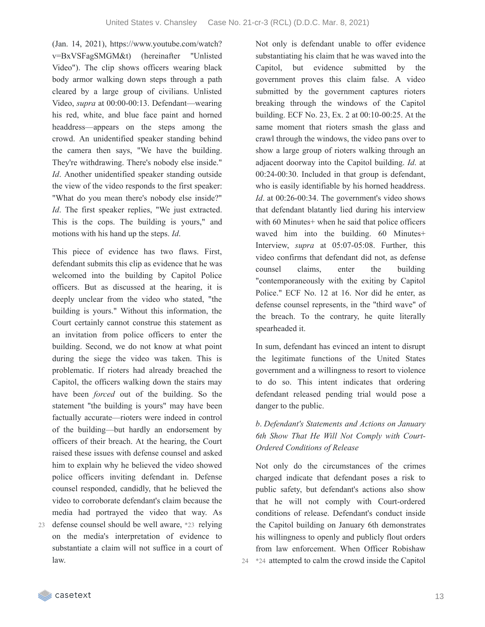(Jan. 14, 2021), https://www.youtube.com/watch? v=BxVSFagSMGM&t) (hereinafter "Unlisted Video"). The clip shows officers wearing black body armor walking down steps through a path cleared by a large group of civilians. Unlisted Video, *supra* at 00:00-00:13. Defendant—wearing his red, white, and blue face paint and horned headdress—appears on the steps among the crowd. An unidentified speaker standing behind the camera then says, "We have the building. They're withdrawing. There's nobody else inside." *Id*. Another unidentified speaker standing outside the view of the video responds to the first speaker: "What do you mean there's nobody else inside?" *Id*. The first speaker replies, "We just extracted. This is the cops. The building is yours," and motions with his hand up the steps. *Id*.

This piece of evidence has two flaws. First, defendant submits this clip as evidence that he was welcomed into the building by Capitol Police officers. But as discussed at the hearing, it is deeply unclear from the video who stated, "the building is yours." Without this information, the Court certainly cannot construe this statement as an invitation from police officers to enter the building. Second, we do not know at what point during the siege the video was taken. This is problematic. If rioters had already breached the Capitol, the officers walking down the stairs may have been *forced* out of the building. So the statement "the building is yours" may have been factually accurate—rioters were indeed in control of the building—but hardly an endorsement by officers of their breach. At the hearing, the Court raised these issues with defense counsel and asked him to explain why he believed the video showed police officers inviting defendant in. Defense counsel responded, candidly, that he believed the video to corroborate defendant's claim because the media had portrayed the video that way. As defense counsel should be well aware, \*23 relying 23

on the media's interpretation of evidence to substantiate a claim will not suffice in a court of law.

Not only is defendant unable to offer evidence substantiating his claim that he was waved into the Capitol, but evidence submitted by the government proves this claim false. A video submitted by the government captures rioters breaking through the windows of the Capitol building. ECF No. 23, Ex. 2 at 00:10-00:25. At the same moment that rioters smash the glass and crawl through the windows, the video pans over to show a large group of rioters walking through an adjacent doorway into the Capitol building. *Id*. at 00:24-00:30. Included in that group is defendant, who is easily identifiable by his horned headdress. *Id*. at 00:26-00:34. The government's video shows that defendant blatantly lied during his interview with 60 Minutes+ when he said that police officers waved him into the building. 60 Minutes+ Interview, *supra* at 05:07-05:08. Further, this video confirms that defendant did not, as defense counsel claims, enter the building "contemporaneously with the exiting by Capitol Police." ECF No. 12 at 16. Nor did he enter, as defense counsel represents, in the "third wave" of the breach. To the contrary, he quite literally spearheaded it.

In sum, defendant has evinced an intent to disrupt the legitimate functions of the United States government and a willingness to resort to violence to do so. This intent indicates that ordering defendant released pending trial would pose a danger to the public.

### *b*. *Defendant's Statements and Actions on January 6th Show That He Will Not Comply with Court-Ordered Conditions of Release*

Not only do the circumstances of the crimes charged indicate that defendant poses a risk to public safety, but defendant's actions also show that he will not comply with Court-ordered conditions of release. Defendant's conduct inside the Capitol building on January 6th demonstrates his willingness to openly and publicly flout orders from law enforcement. When Officer Robishaw 24 \*24 attempted to calm the crowd inside the Capitol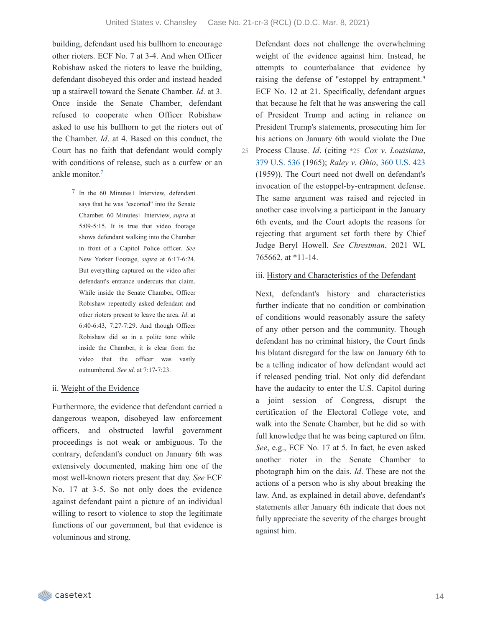building, defendant used his bullhorn to encourage other rioters. ECF No. 7 at 3-4. And when Officer Robishaw asked the rioters to leave the building, defendant disobeyed this order and instead headed up a stairwell toward the Senate Chamber. *Id*. at 3. Once inside the Senate Chamber, defendant refused to cooperate when Officer Robishaw asked to use his bullhorn to get the rioters out of the Chamber. *Id*. at 4. Based on this conduct, the Court has no faith that defendant would comply with conditions of release, such as a curfew or an ankle monitor. [7](https://casetext.com/_print/doc/united-states-v-chansley-1?_printIncludeHighlights=false&_printIncludeKeyPassages=false&_printIsTwoColumn=true&_printEmail=&_printHighlightsKey=#N197466)

> 7 In the 60 Minutes+ Interview, defendant says that he was "escorted" into the Senate Chamber. 60 Minutes+ Interview, *supra* at 5:09-5:15. It is true that video footage shows defendant walking into the Chamber in front of a Capitol Police officer. *See* New Yorker Footage, *supra* at 6:17-6:24. But everything captured on the video after defendant's entrance undercuts that claim. While inside the Senate Chamber, Officer Robishaw repeatedly asked defendant and other rioters present to leave the area. *Id*. at 6:40-6:43, 7:27-7:29. And though Officer Robishaw did so in a polite tone while inside the Chamber, it is clear from the video that the officer was vastly outnumbered. *See id*. at 7:17-7:23.

#### ii. Weight of the Evidence

Furthermore, the evidence that defendant carried a dangerous weapon, disobeyed law enforcement officers, and obstructed lawful government proceedings is not weak or ambiguous. To the contrary, defendant's conduct on January 6th was extensively documented, making him one of the most well-known rioters present that day. *See* ECF No. 17 at 3-5. So not only does the evidence against defendant paint a picture of an individual willing to resort to violence to stop the legitimate functions of our government, but that evidence is voluminous and strong.

Defendant does not challenge the overwhelming weight of the evidence against him. Instead, he attempts to counterbalance that evidence by raising the defense of "estoppel by entrapment." ECF No. 12 at 21. Specifically, defendant argues that because he felt that he was answering the call of President Trump and acting in reliance on President Trump's statements, prosecuting him for his actions on January 6th would violate the Due Process Clause. *Id*. (citing \*25 *Cox v*. *Louisiana*, 379 [U.S.](https://casetext.com/case/cox-v-louisiana) 536 (1965); *Raley v*. *Ohio*, 360 [U.S.](https://casetext.com/case/raley-v-ohio) 423 (1959)). The Court need not dwell on defendant's invocation of the estoppel-by-entrapment defense. The same argument was raised and rejected in another case involving a participant in the January 6th events, and the Court adopts the reasons for rejecting that argument set forth there by Chief Judge Beryl Howell. *See Chrestman*, 2021 WL 765662, at \*11-14. 25

#### iii. History and Characteristics of the Defendant

Next, defendant's history and characteristics further indicate that no condition or combination of conditions would reasonably assure the safety of any other person and the community. Though defendant has no criminal history, the Court finds his blatant disregard for the law on January 6th to be a telling indicator of how defendant would act if released pending trial. Not only did defendant have the audacity to enter the U.S. Capitol during a joint session of Congress, disrupt the certification of the Electoral College vote, and walk into the Senate Chamber, but he did so with full knowledge that he was being captured on film. *See*, e.g., ECF No. 17 at 5. In fact, he even asked another rioter in the Senate Chamber to photograph him on the dais. *Id*. These are not the actions of a person who is shy about breaking the law. And, as explained in detail above, defendant's statements after January 6th indicate that does not fully appreciate the severity of the charges brought against him.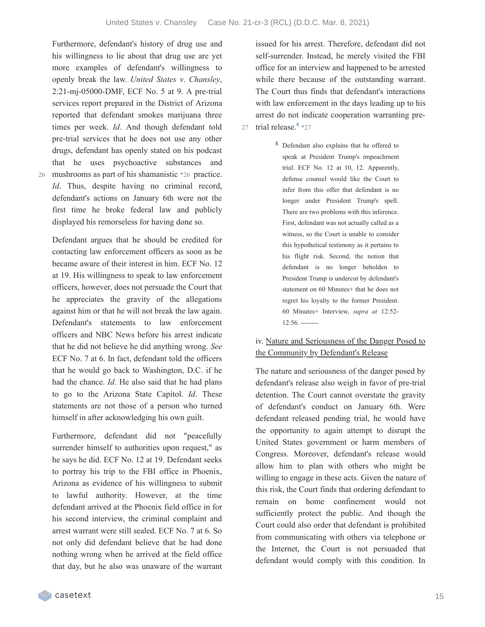Furthermore, defendant's history of drug use and his willingness to lie about that drug use are yet more examples of defendant's willingness to openly break the law. *United States v*. *Chansley*, 2:21-mj-05000-DMF, ECF No. 5 at 9. A pre-trial services report prepared in the District of Arizona reported that defendant smokes marijuana three times per week. *Id*. And though defendant told pre-trial services that he does not use any other drugs, defendant has openly stated on his podcast that he uses psychoactive substances and mushrooms as part of his shamanistic \*26 practice. *Id*. Thus, despite having no criminal record, defendant's actions on January 6th were not the first time he broke federal law and publicly

displayed his remorseless for having done so.

26

Defendant argues that he should be credited for contacting law enforcement officers as soon as he became aware of their interest in him. ECF No. 12 at 19. His willingness to speak to law enforcement officers, however, does not persuade the Court that he appreciates the gravity of the allegations against him or that he will not break the law again. Defendant's statements to law enforcement officers and NBC News before his arrest indicate that he did not believe he did anything wrong. *See* ECF No. 7 at 6. In fact, defendant told the officers that he would go back to Washington, D.C. if he had the chance. *Id*. He also said that he had plans to go to the Arizona State Capitol. *Id*. These statements are not those of a person who turned himself in after acknowledging his own guilt.

Furthermore, defendant did not "peacefully surrender himself to authorities upon request," as he says he did. ECF No. 12 at 19. Defendant seeks to portray his trip to the FBI office in Phoenix, Arizona as evidence of his willingness to submit to lawful authority. However, at the time defendant arrived at the Phoenix field office in for his second interview, the criminal complaint and arrest warrant were still sealed. ECF No. 7 at 6. So not only did defendant believe that he had done nothing wrong when he arrived at the field office that day, but he also was unaware of the warrant

issued for his arrest. Therefore, defendant did not self-surrender. Instead, he merely visited the FBI office for an interview and happened to be arrested while there because of the outstanding warrant. The Court thus finds that defendant's interactions with law enforcement in the days leading up to his arrest do not indicate cooperation warranting pre-27 trial release.  $8 \times 27$  $8 \times 27$ 

> 8 Defendant also explains that he offered to speak at President Trump's impeachment trial. ECF No. 12 at 10, 12. Apparently, defense counsel would like the Court to infer from this offer that defendant is no longer under President Trump's spell. There are two problems with this inference. First, defendant was not actually called as a witness, so the Court is unable to consider this hypothetical testimony as it pertains to his flight risk. Second, the notion that defendant is no longer beholden to President Trump is undercut by defendant's statement on 60 Minutes+ that he does not regret his loyalty to the former President. 60 Minutes+ Interview, *supra at* 12:52- 12:56. --------

### iv. Nature and Seriousness of the Danger Posed to the Community by Defendant's Release

The nature and seriousness of the danger posed by defendant's release also weigh in favor of pre-trial detention. The Court cannot overstate the gravity of defendant's conduct on January 6th. Were defendant released pending trial, he would have the opportunity to again attempt to disrupt the United States government or harm members of Congress. Moreover, defendant's release would allow him to plan with others who might be willing to engage in these acts. Given the nature of this risk, the Court finds that ordering defendant to remain on home confinement would not sufficiently protect the public. And though the Court could also order that defendant is prohibited from communicating with others via telephone or the Internet, the Court is not persuaded that defendant would comply with this condition. In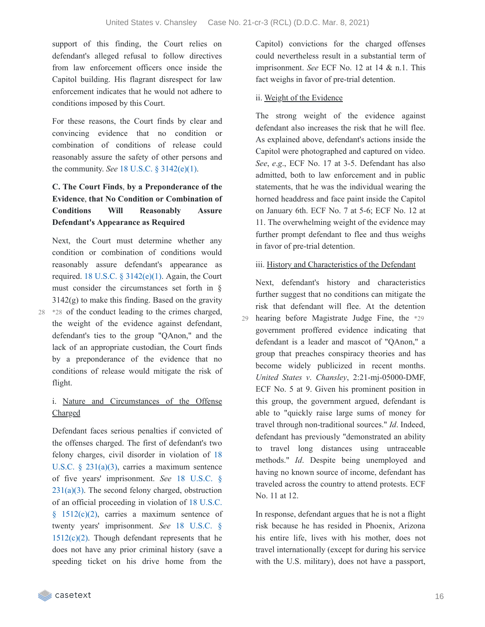support of this finding, the Court relies on defendant's alleged refusal to follow directives from law enforcement officers once inside the Capitol building. His flagrant disrespect for law enforcement indicates that he would not adhere to conditions imposed by this Court.

For these reasons, the Court finds by clear and convincing evidence that no condition or combination of conditions of release could reasonably assure the safety of other persons and the community. *See* 18 U.S.C. § [3142\(e\)\(1\).](https://casetext.com/statute/united-states-code/title-18-crimes-and-criminal-procedure/part-ii-criminal-procedure/chapter-207-release-and-detention-pending-judicial-proceedings/section-3142-release-or-detention-of-a-defendant-pending-trial)

## **C. The Court Finds**, **by a Preponderance of the Evidence**, **that No Condition or Combination of Conditions Will Reasonably Assure Defendant's Appearance as Required**

Next, the Court must determine whether any condition or combination of conditions would reasonably assure defendant's appearance as required. 18 U.S.C.  $\S$  [3142\(e\)\(1\).](https://casetext.com/statute/united-states-code/title-18-crimes-and-criminal-procedure/part-ii-criminal-procedure/chapter-207-release-and-detention-pending-judicial-proceedings/section-3142-release-or-detention-of-a-defendant-pending-trial) Again, the Court must consider the circumstances set forth in §  $3142(g)$  to make this finding. Based on the gravity \*28 of the conduct leading to the crimes charged, 28 the weight of the evidence against defendant, defendant's ties to the group "QAnon," and the lack of an appropriate custodian, the Court finds by a preponderance of the evidence that no conditions of release would mitigate the risk of flight.

### i. Nature and Circumstances of the Offense Charged

Defendant faces serious penalties if convicted of the offenses charged. The first of defendant's two felony charges, civil disorder in violation of 18 U.S.C. § 231(a)(3), carries a [maximum](https://casetext.com/statute/united-states-code/title-18-crimes-and-criminal-procedure/part-i-crimes/chapter-12-civil-disorders/section-231-civil-disorders) sentence of five years' [imprisonment.](https://casetext.com/statute/united-states-code/title-18-crimes-and-criminal-procedure/part-i-crimes/chapter-12-civil-disorders/section-231-civil-disorders) *See* 18 U.S.C. §  $231(a)(3)$ . The second felony charged, obstruction of an official proceeding in violation of 18 U.S.C. §  $1512(c)(2)$ , carries a maximum sentence of twenty years' [imprisonment.](https://casetext.com/statute/united-states-code/title-18-crimes-and-criminal-procedure/part-i-crimes/chapter-73-obstruction-of-justice/section-1512-tampering-with-a-witness-victim-or-an-informant) *See* 18 U.S.C. §  $1512(c)(2)$ . Though defendant represents that he does not have any prior criminal history (save a speeding ticket on his drive home from the

Capitol) convictions for the charged offenses could nevertheless result in a substantial term of imprisonment. *See* ECF No. 12 at 14 & n.1. This fact weighs in favor of pre-trial detention.

#### ii. Weight of the Evidence

The strong weight of the evidence against defendant also increases the risk that he will flee. As explained above, defendant's actions inside the Capitol were photographed and captured on video. *See*, *e*.*g*., ECF No. 17 at 3-5. Defendant has also admitted, both to law enforcement and in public statements, that he was the individual wearing the horned headdress and face paint inside the Capitol on January 6th. ECF No. 7 at 5-6; ECF No. 12 at 11. The overwhelming weight of the evidence may further prompt defendant to flee and thus weighs in favor of pre-trial detention.

#### iii. History and Characteristics of the Defendant

Next, defendant's history and characteristics further suggest that no conditions can mitigate the risk that defendant will flee. At the detention hearing before Magistrate Judge Fine, the \*29 government proffered evidence indicating that defendant is a leader and mascot of "QAnon," a group that preaches conspiracy theories and has become widely publicized in recent months. *United States v*. *Chansley*, 2:21-mj-05000-DMF, ECF No. 5 at 9. Given his prominent position in this group, the government argued, defendant is able to "quickly raise large sums of money for travel through non-traditional sources." *Id*. Indeed, defendant has previously "demonstrated an ability to travel long distances using untraceable methods." *Id*. Despite being unemployed and having no known source of income, defendant has traveled across the country to attend protests. ECF No. 11 at 12. 29

In response, defendant argues that he is not a flight risk because he has resided in Phoenix, Arizona his entire life, lives with his mother, does not travel internationally (except for during his service with the U.S. military), does not have a passport,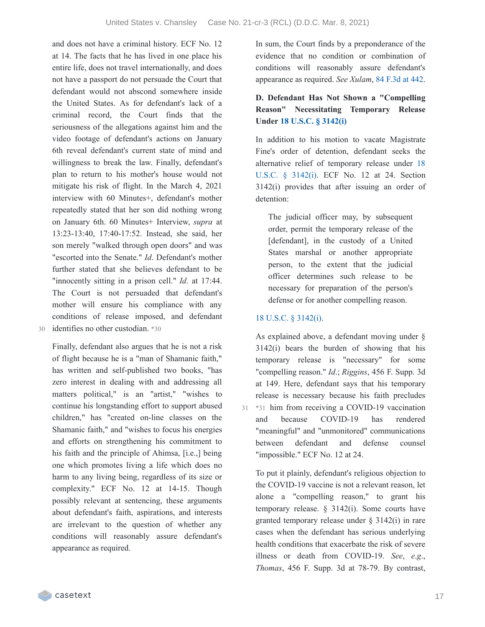and does not have a criminal history. ECF No. 12 at 14. The facts that he has lived in one place his entire life, does not travel internationally, and does not have a passport do not persuade the Court that defendant would not abscond somewhere inside the United States. As for defendant's lack of a criminal record, the Court finds that the seriousness of the allegations against him and the video footage of defendant's actions on January 6th reveal defendant's current state of mind and willingness to break the law. Finally, defendant's plan to return to his mother's house would not mitigate his risk of flight. In the March 4, 2021 interview with 60 Minutes+, defendant's mother repeatedly stated that her son did nothing wrong on January 6th. 60 Minutes+ Interview, *supra* at 13:23-13:40, 17:40-17:52. Instead, she said, her son merely "walked through open doors" and was "escorted into the Senate." *Id*. Defendant's mother further stated that she believes defendant to be "innocently sitting in a prison cell." *Id*. at 17:44. The Court is not persuaded that defendant's mother will ensure his compliance with any conditions of release imposed, and defendant 30 identifies no other custodian. \*30

Finally, defendant also argues that he is not a risk of flight because he is a "man of Shamanic faith," has written and self-published two books, "has zero interest in dealing with and addressing all matters political," is an "artist," "wishes to continue his longstanding effort to support abused children," has "created on-line classes on the Shamanic faith," and "wishes to focus his energies and efforts on strengthening his commitment to his faith and the principle of Ahimsa, [i.e.,] being one which promotes living a life which does no harm to any living being, regardless of its size or complexity." ECF No. 12 at 14-15. Though possibly relevant at sentencing, these arguments about defendant's faith, aspirations, and interests are irrelevant to the question of whether any conditions will reasonably assure defendant's appearance as required.

In sum, the Court finds by a preponderance of the evidence that no condition or combination of conditions will reasonably assure defendant's appearance as required. *See Xulam*, 84 [F.3d](https://casetext.com/case/us-v-xulam#p442) at 442.

### **D. Defendant Has Not Shown a "Compelling Reason" Necessitating Temporary Release Under 18 U.S.C. § [3142\(i\)](https://casetext.com/statute/united-states-code/title-18-crimes-and-criminal-procedure/part-ii-criminal-procedure/chapter-207-release-and-detention-pending-judicial-proceedings/section-3142-release-or-detention-of-a-defendant-pending-trial)**

In addition to his motion to vacate Magistrate Fine's order of detention, defendant seeks the [alternative](https://casetext.com/statute/united-states-code/title-18-crimes-and-criminal-procedure/part-ii-criminal-procedure/chapter-207-release-and-detention-pending-judicial-proceedings/section-3142-release-or-detention-of-a-defendant-pending-trial) relief of temporary release under 18 U.S.C. § 3142(i). ECF No. 12 at 24. Section 3142(i) provides that after issuing an order of detention:

The judicial officer may, by subsequent order, permit the temporary release of the [defendant], in the custody of a United States marshal or another appropriate person, to the extent that the judicial officer determines such release to be necessary for preparation of the person's defense or for another compelling reason.

#### 18 U.S.C. § [3142\(i\).](https://casetext.com/statute/united-states-code/title-18-crimes-and-criminal-procedure/part-ii-criminal-procedure/chapter-207-release-and-detention-pending-judicial-proceedings/section-3142-release-or-detention-of-a-defendant-pending-trial)

As explained above, a defendant moving under § 3142(i) bears the burden of showing that his temporary release is "necessary" for some "compelling reason." *Id*.; *Riggins*, 456 F. Supp. 3d at 149. Here, defendant says that his temporary release is necessary because his faith precludes 31 \*31 him from receiving a COVID-19 vaccination and because COVID-19 has rendered "meaningful" and "unmonitored" communications between defendant and defense counsel "impossible." ECF No. 12 at 24.

To put it plainly, defendant's religious objection to the COVID-19 vaccine is not a relevant reason, let alone a "compelling reason," to grant his temporary release. § 3142(i). Some courts have granted temporary release under § 3142(i) in rare cases when the defendant has serious underlying health conditions that exacerbate the risk of severe illness or death from COVID-19. *See*, *e*.*g*., *Thomas*, 456 F. Supp. 3d at 78-79. By contrast,